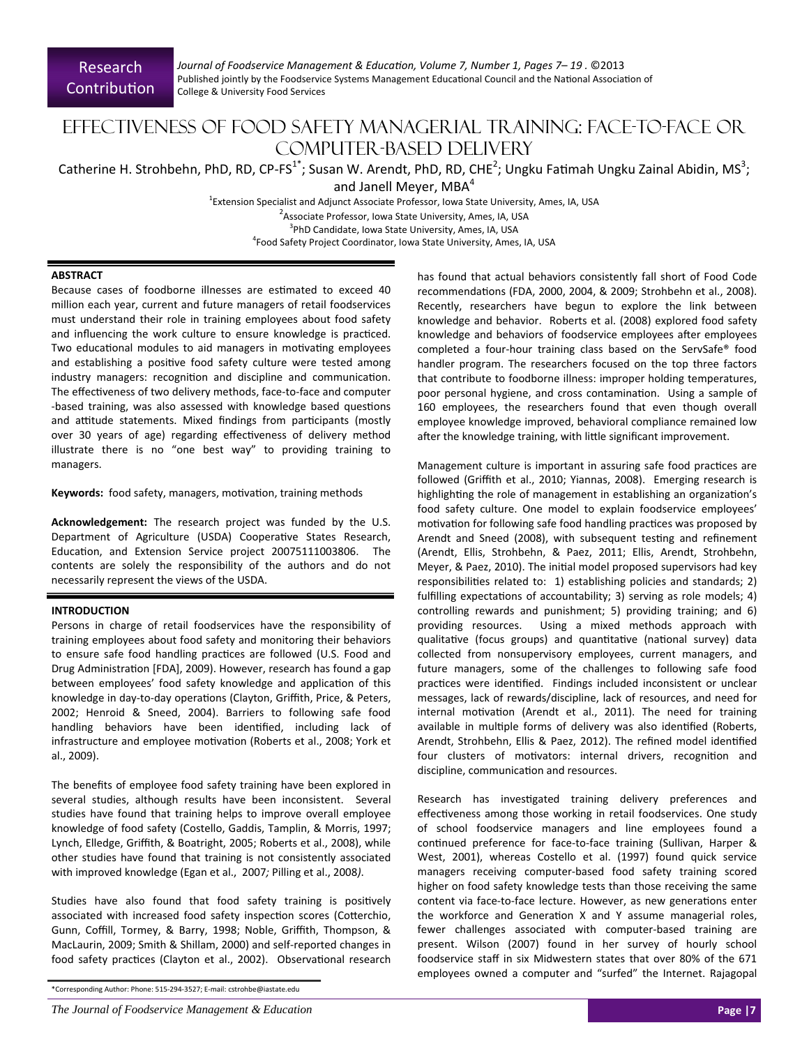# Effectiveness of Food Safety Managerial Training: Face-to-face or computer-based delivery

Catherine H. Strohbehn, PhD, RD, CP-FS<sup>1\*</sup>; Susan W. Arendt, PhD, RD, CHE<sup>2</sup>; Ungku Fatimah Ungku Zainal Abidin, MS<sup>3</sup>;

and Janell Meyer, MBA<sup>4</sup>

<sup>1</sup>Extension Specialist and Adjunct Associate Professor, Iowa State University, Ames, IA, USA <sup>2</sup> Associate Professor, Iowa State University, Ames, IA, USA <sup>3</sup>PhD Candidate, Iowa State University, Ames, IA, USA 4 Food Safety Project Coordinator, Iowa State University, Ames, IA, USA

## **ABSTRACT**

Because cases of foodborne illnesses are estimated to exceed 40 million each year, current and future managers of retail foodservices must understand their role in training employees about food safety and influencing the work culture to ensure knowledge is practiced. Two educational modules to aid managers in motivating employees and establishing a positive food safety culture were tested among industry managers: recognition and discipline and communication. The effectiveness of two delivery methods, face-to-face and computer -based training, was also assessed with knowledge based questions and attitude statements. Mixed findings from participants (mostly over 30 years of age) regarding effectiveness of delivery method illustrate there is no "one best way" to providing training to managers.

Keywords: food safety, managers, motivation, training methods

**Acknowledgement:** The research project was funded by the U.S. Department of Agriculture (USDA) Cooperative States Research, Education, and Extension Service project 20075111003806. The contents are solely the responsibility of the authors and do not necessarily represent the views of the USDA.

## **INTRODUCTION**

Persons in charge of retail foodservices have the responsibility of training employees about food safety and monitoring their behaviors to ensure safe food handling practices are followed (U.S. Food and Drug Administration [FDA], 2009). However, research has found a gap between employees' food safety knowledge and application of this knowledge in day-to-day operations (Clayton, Griffith, Price, & Peters, 2002; Henroid & Sneed, 2004). Barriers to following safe food handling behaviors have been identified, including lack of infrastructure and employee motivation (Roberts et al., 2008; York et al., 2009).

The benefits of employee food safety training have been explored in several studies, although results have been inconsistent. Several studies have found that training helps to improve overall employee knowledge of food safety (Costello, Gaddis, Tamplin, & Morris, 1997; Lynch, Elledge, Griffith, & Boatright, 2005; Roberts et al., 2008), while other studies have found that training is not consistently associated with improved knowledge (Egan et al., 2007*;* Pilling et al., 2008*)*.

Studies have also found that food safety training is positively associated with increased food safety inspection scores (Cotterchio, Gunn, Coffill, Tormey, & Barry, 1998; Noble, Griffith, Thompson, & MacLaurin, 2009; Smith & Shillam, 2000) and self‐reported changes in food safety practices (Clayton et al., 2002). Observational research

*The Journal of Foodservice Management & Education* **Page |7**

has found that actual behaviors consistently fall short of Food Code recommendations (FDA, 2000, 2004, & 2009; Strohbehn et al., 2008). Recently, researchers have begun to explore the link between knowledge and behavior. Roberts et al. (2008) explored food safety knowledge and behaviors of foodservice employees after employees completed a four‐hour training class based on the ServSafe® food handler program. The researchers focused on the top three factors that contribute to foodborne illness: improper holding temperatures, poor personal hygiene, and cross contamination. Using a sample of 160 employees, the researchers found that even though overall employee knowledge improved, behavioral compliance remained low after the knowledge training, with little significant improvement.

Management culture is important in assuring safe food practices are followed (Griffith et al., 2010; Yiannas, 2008). Emerging research is highlighting the role of management in establishing an organization's food safety culture. One model to explain foodservice employees' motivation for following safe food handling practices was proposed by Arendt and Sneed (2008), with subsequent testing and refinement (Arendt, Ellis, Strohbehn, & Paez, 2011; Ellis, Arendt, Strohbehn, Meyer, & Paez, 2010). The initial model proposed supervisors had key responsibilities related to: 1) establishing policies and standards; 2) fulfilling expectations of accountability; 3) serving as role models; 4) controlling rewards and punishment; 5) providing training; and 6) providing resources. Using a mixed methods approach with qualitative (focus groups) and quantitative (national survey) data collected from nonsupervisory employees, current managers, and future managers, some of the challenges to following safe food practices were identified. Findings included inconsistent or unclear messages, lack of rewards/discipline, lack of resources, and need for internal motivation (Arendt et al., 2011). The need for training available in multiple forms of delivery was also identified (Roberts, Arendt, Strohbehn, Ellis & Paez, 2012). The refined model identified four clusters of motivators: internal drivers, recognition and discipline, communication and resources.

Research has investigated training delivery preferences and effectiveness among those working in retail foodservices. One study of school foodservice managers and line employees found a continued preference for face-to-face training (Sullivan, Harper & West, 2001), whereas Costello et al. (1997) found quick service managers receiving computer‐based food safety training scored higher on food safety knowledge tests than those receiving the same content via face-to-face lecture. However, as new generations enter the workforce and Generation X and Y assume managerial roles, fewer challenges associated with computer‐based training are present. Wilson (2007) found in her survey of hourly school foodservice staff in six Midwestern states that over 80% of the 671 employees owned a computer and "surfed" the Internet. Rajagopal

<sup>\*</sup>Corresponding Author: Phone: 515‐294‐3527; E‐mail: cstrohbe@iastate.edu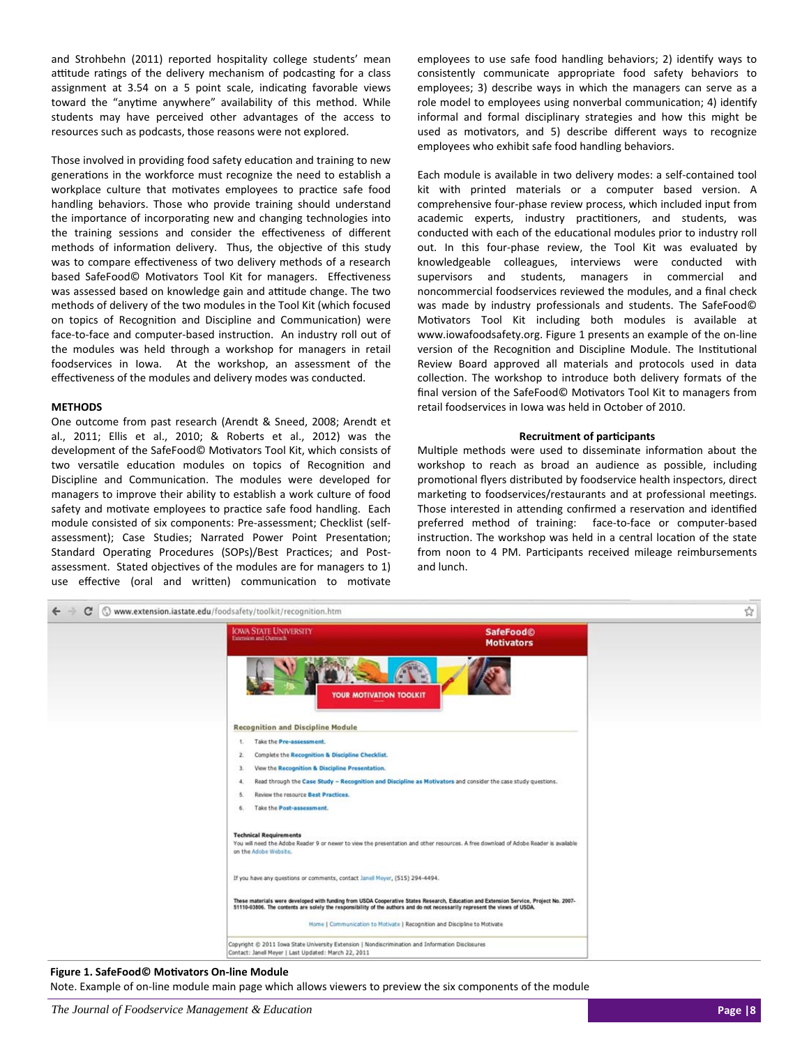and Strohbehn (2011) reported hospitality college students' mean attitude ratings of the delivery mechanism of podcasting for a class assignment at 3.54 on a 5 point scale, indicating favorable views toward the "anytime anywhere" availability of this method. While students may have perceived other advantages of the access to resources such as podcasts, those reasons were not explored.

Those involved in providing food safety education and training to new generations in the workforce must recognize the need to establish a workplace culture that motivates employees to practice safe food handling behaviors. Those who provide training should understand the importance of incorporating new and changing technologies into the training sessions and consider the effectiveness of different methods of information delivery. Thus, the objective of this study was to compare effectiveness of two delivery methods of a research based SafeFood© Motivators Tool Kit for managers. Effectiveness was assessed based on knowledge gain and attitude change. The two methods of delivery of the two modules in the Tool Kit (which focused on topics of Recognition and Discipline and Communication) were face-to-face and computer-based instruction. An industry roll out of the modules was held through a workshop for managers in retail foodservices in Iowa. At the workshop, an assessment of the effectiveness of the modules and delivery modes was conducted.

#### **METHODS**

One outcome from past research (Arendt & Sneed, 2008; Arendt et al., 2011; Ellis et al., 2010; & Roberts et al., 2012) was the development of the SafeFood© Motivators Tool Kit, which consists of two versatile education modules on topics of Recognition and Discipline and Communication. The modules were developed for managers to improve their ability to establish a work culture of food safety and motivate employees to practice safe food handling. Each module consisted of six components: Pre‐assessment; Checklist (self‐ assessment); Case Studies; Narrated Power Point Presentation; Standard Operating Procedures (SOPs)/Best Practices; and Postassessment. Stated objectives of the modules are for managers to 1) use effective (oral and written) communication to motivate employees to use safe food handling behaviors; 2) identify ways to consistently communicate appropriate food safety behaviors to employees; 3) describe ways in which the managers can serve as a role model to employees using nonverbal communication; 4) identify informal and formal disciplinary strategies and how this might be used as motivators, and 5) describe different ways to recognize employees who exhibit safe food handling behaviors.

Each module is available in two delivery modes: a self‐contained tool kit with printed materials or a computer based version. A comprehensive four‐phase review process, which included input from academic experts, industry practitioners, and students, was conducted with each of the educational modules prior to industry roll out. In this four‐phase review, the Tool Kit was evaluated by knowledgeable colleagues, interviews were conducted with supervisors and students, managers in commercial and noncommercial foodservices reviewed the modules, and a final check was made by industry professionals and students. The SafeFood© Motivators Tool Kit including both modules is available at www.iowafoodsafety.org. Figure 1 presents an example of the on‐line version of the Recognition and Discipline Module. The Institutional Review Board approved all materials and protocols used in data collection. The workshop to introduce both delivery formats of the final version of the SafeFood© Motivators Tool Kit to managers from retail foodservices in Iowa was held in October of 2010.

#### **Recruitment of parƟcipants**

Multiple methods were used to disseminate information about the workshop to reach as broad an audience as possible, including promotional flyers distributed by foodservice health inspectors, direct marketing to foodservices/restaurants and at professional meetings. Those interested in attending confirmed a reservation and identified preferred method of training: face-to-face or computer-based instruction. The workshop was held in a central location of the state from noon to 4 PM. Participants received mileage reimbursements and lunch.



Note. Example of on-line module main page which allows viewers to preview the six components of the module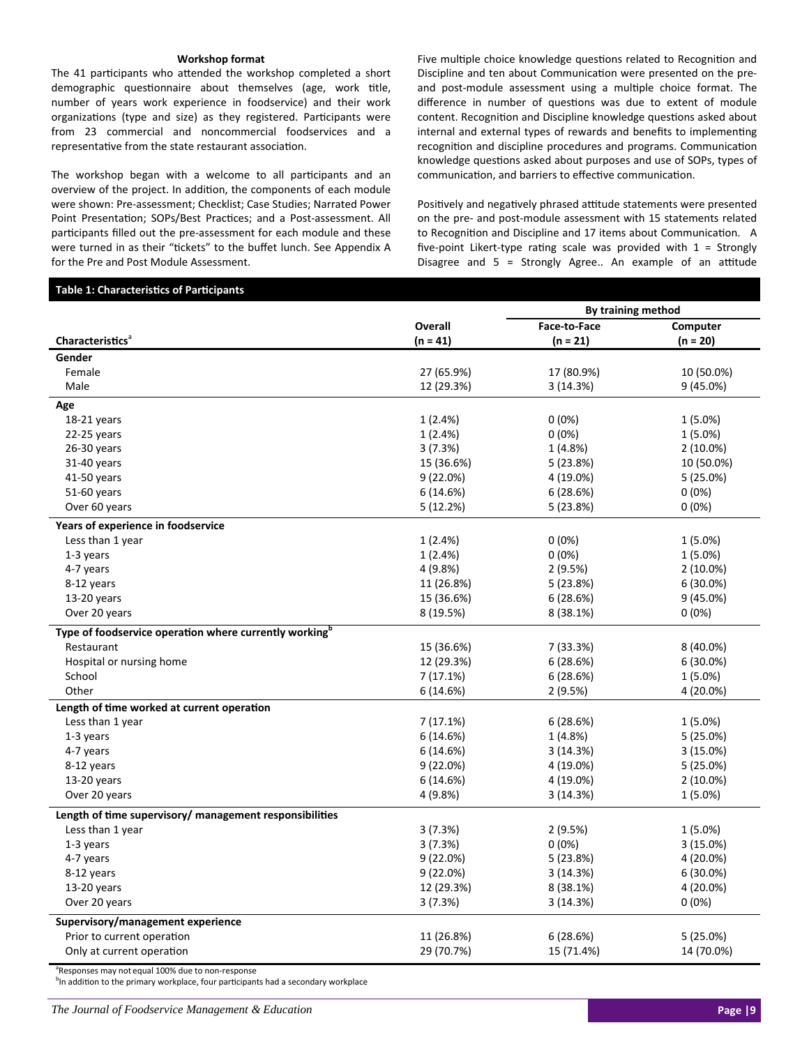#### **Workshop format**

The 41 participants who attended the workshop completed a short demographic questionnaire about themselves (age, work title, number of years work experience in foodservice) and their work organizations (type and size) as they registered. Participants were from 23 commercial and noncommercial foodservices and a representative from the state restaurant association.

The workshop began with a welcome to all participants and an overview of the project. In addition, the components of each module were shown: Pre‐assessment; Checklist; Case Studies; Narrated Power Point Presentation; SOPs/Best Practices; and a Post-assessment. All participants filled out the pre-assessment for each module and these were turned in as their "tickets" to the buffet lunch. See Appendix A for the Pre and Post Module Assessment.

Five multiple choice knowledge questions related to Recognition and Discipline and ten about Communication were presented on the preand post-module assessment using a multiple choice format. The difference in number of questions was due to extent of module content. Recognition and Discipline knowledge questions asked about internal and external types of rewards and benefits to implementing recognition and discipline procedures and programs. Communication knowledge questions asked about purposes and use of SOPs, types of communication, and barriers to effective communication.

Positively and negatively phrased attitude statements were presented on the pre‐ and post‐module assessment with 15 statements related to Recognition and Discipline and 17 items about Communication. A five-point Likert-type rating scale was provided with  $1 =$  Strongly Disagree and = Strongly Agree.. An example of an attitude

## **Table 1: Characteristics of Participants**

| Face-to-Face<br>Overall<br>Computer<br><b>Characteristics</b> <sup>a</sup><br>$(n = 41)$<br>$(n = 21)$<br>$(n = 20)$<br>Gender<br>27 (65.9%)<br>17 (80.9%)<br>10 (50.0%)<br>Female<br>Male<br>12 (29.3%)<br>3(14.3%)<br>$9(45.0\%)$<br>Age<br>18-21 years<br>1(2.4%)<br>$0(0\%)$<br>$1(5.0\%)$<br>22-25 years<br>1(2.4%)<br>0(0%)<br>$1(5.0\%)$<br>$26-30$ years<br>3(7.3%)<br>1 (4.8%)<br>$2(10.0\%)$<br>31-40 years<br>15 (36.6%)<br>5 (23.8%)<br>10 (50.0%)<br>41-50 years<br>9(22.0%)<br>4 (19.0%)<br>$5(25.0\%)$<br>51-60 years<br>$0(0\%)$<br>6(14.6%)<br>6 (28.6%) |  | By training method |  |  |  |
|---------------------------------------------------------------------------------------------------------------------------------------------------------------------------------------------------------------------------------------------------------------------------------------------------------------------------------------------------------------------------------------------------------------------------------------------------------------------------------------------------------------------------------------------------------------------------|--|--------------------|--|--|--|
|                                                                                                                                                                                                                                                                                                                                                                                                                                                                                                                                                                           |  |                    |  |  |  |
|                                                                                                                                                                                                                                                                                                                                                                                                                                                                                                                                                                           |  |                    |  |  |  |
|                                                                                                                                                                                                                                                                                                                                                                                                                                                                                                                                                                           |  |                    |  |  |  |
|                                                                                                                                                                                                                                                                                                                                                                                                                                                                                                                                                                           |  |                    |  |  |  |
|                                                                                                                                                                                                                                                                                                                                                                                                                                                                                                                                                                           |  |                    |  |  |  |
|                                                                                                                                                                                                                                                                                                                                                                                                                                                                                                                                                                           |  |                    |  |  |  |
|                                                                                                                                                                                                                                                                                                                                                                                                                                                                                                                                                                           |  |                    |  |  |  |
|                                                                                                                                                                                                                                                                                                                                                                                                                                                                                                                                                                           |  |                    |  |  |  |
|                                                                                                                                                                                                                                                                                                                                                                                                                                                                                                                                                                           |  |                    |  |  |  |
|                                                                                                                                                                                                                                                                                                                                                                                                                                                                                                                                                                           |  |                    |  |  |  |
|                                                                                                                                                                                                                                                                                                                                                                                                                                                                                                                                                                           |  |                    |  |  |  |
|                                                                                                                                                                                                                                                                                                                                                                                                                                                                                                                                                                           |  |                    |  |  |  |
| Over 60 years<br>5(12.2%)<br>5 (23.8%)<br>$0(0\%)$                                                                                                                                                                                                                                                                                                                                                                                                                                                                                                                        |  |                    |  |  |  |
| Years of experience in foodservice                                                                                                                                                                                                                                                                                                                                                                                                                                                                                                                                        |  |                    |  |  |  |
| Less than 1 year<br>1(2.4%)<br>$0(0\%)$<br>$1(5.0\%)$                                                                                                                                                                                                                                                                                                                                                                                                                                                                                                                     |  |                    |  |  |  |
| $1-3$ years<br>1(2.4%)<br>$0(0\%)$<br>$1(5.0\%)$                                                                                                                                                                                                                                                                                                                                                                                                                                                                                                                          |  |                    |  |  |  |
| 4-7 years<br>4 (9.8%)<br>2 (9.5%)<br>$2(10.0\%)$                                                                                                                                                                                                                                                                                                                                                                                                                                                                                                                          |  |                    |  |  |  |
| 8-12 years<br>11 (26.8%)<br>5 (23.8%)<br>$6(30.0\%)$                                                                                                                                                                                                                                                                                                                                                                                                                                                                                                                      |  |                    |  |  |  |
| 9(45.0%)<br>$13-20$ years<br>15 (36.6%)<br>6 (28.6%)                                                                                                                                                                                                                                                                                                                                                                                                                                                                                                                      |  |                    |  |  |  |
| Over 20 years<br>8 (19.5%)<br>8 (38.1%)<br>$0(0\%)$                                                                                                                                                                                                                                                                                                                                                                                                                                                                                                                       |  |                    |  |  |  |
| Type of foodservice operation where currently working <sup>b</sup>                                                                                                                                                                                                                                                                                                                                                                                                                                                                                                        |  |                    |  |  |  |
| Restaurant<br>7 (33.3%)<br>8 (40.0%)<br>15 (36.6%)                                                                                                                                                                                                                                                                                                                                                                                                                                                                                                                        |  |                    |  |  |  |
| Hospital or nursing home<br>12 (29.3%)<br>6(28.6%)<br>$6(30.0\%)$                                                                                                                                                                                                                                                                                                                                                                                                                                                                                                         |  |                    |  |  |  |
| School<br>7(17.1%)<br>6(28.6%)<br>$1(5.0\%)$                                                                                                                                                                                                                                                                                                                                                                                                                                                                                                                              |  |                    |  |  |  |
| Other<br>6(14.6%)<br>2 (9.5%)<br>4 (20.0%)                                                                                                                                                                                                                                                                                                                                                                                                                                                                                                                                |  |                    |  |  |  |
| Length of time worked at current operation                                                                                                                                                                                                                                                                                                                                                                                                                                                                                                                                |  |                    |  |  |  |
| Less than 1 year<br>7(17.1%)<br>6(28.6%)<br>$1(5.0\%)$                                                                                                                                                                                                                                                                                                                                                                                                                                                                                                                    |  |                    |  |  |  |
| 1-3 years<br>6(14.6%)<br>1 (4.8%)<br>5(25.0%)                                                                                                                                                                                                                                                                                                                                                                                                                                                                                                                             |  |                    |  |  |  |
| 4-7 years<br>6(14.6%)<br>3 (14.3%)<br>3(15.0%)                                                                                                                                                                                                                                                                                                                                                                                                                                                                                                                            |  |                    |  |  |  |
| 8-12 years<br>9(22.0%)<br>4 (19.0%)<br>5(25.0%)                                                                                                                                                                                                                                                                                                                                                                                                                                                                                                                           |  |                    |  |  |  |
| $13-20$ years<br>6(14.6%)<br>4 (19.0%)<br>$2(10.0\%)$                                                                                                                                                                                                                                                                                                                                                                                                                                                                                                                     |  |                    |  |  |  |
| Over 20 years<br>4 (9.8%)<br>3 (14.3%)<br>$1(5.0\%)$                                                                                                                                                                                                                                                                                                                                                                                                                                                                                                                      |  |                    |  |  |  |
| Length of time supervisory/ management responsibilities                                                                                                                                                                                                                                                                                                                                                                                                                                                                                                                   |  |                    |  |  |  |
| Less than 1 year<br>2 (9.5%)<br>$1(5.0\%)$<br>3(7.3%)                                                                                                                                                                                                                                                                                                                                                                                                                                                                                                                     |  |                    |  |  |  |
| 1-3 years<br>3(7.3%)<br>$0(0\%)$<br>3 (15.0%)                                                                                                                                                                                                                                                                                                                                                                                                                                                                                                                             |  |                    |  |  |  |
| 9(22.0%)<br>4 (20.0%)<br>4-7 years<br>5 (23.8%)                                                                                                                                                                                                                                                                                                                                                                                                                                                                                                                           |  |                    |  |  |  |
| 8-12 years<br>9(22.0%)<br>3 (14.3%)<br>$6(30.0\%)$                                                                                                                                                                                                                                                                                                                                                                                                                                                                                                                        |  |                    |  |  |  |
| 13-20 years<br>12 (29.3%)<br>4 (20.0%)<br>8 (38.1%)                                                                                                                                                                                                                                                                                                                                                                                                                                                                                                                       |  |                    |  |  |  |
| Over 20 years<br>3(7.3%)<br>3 (14.3%)<br>$0(0\%)$                                                                                                                                                                                                                                                                                                                                                                                                                                                                                                                         |  |                    |  |  |  |
| Supervisory/management experience                                                                                                                                                                                                                                                                                                                                                                                                                                                                                                                                         |  |                    |  |  |  |
| 11 (26.8%)<br>6(28.6%)<br>5(25.0%)<br>Prior to current operation                                                                                                                                                                                                                                                                                                                                                                                                                                                                                                          |  |                    |  |  |  |
| Only at current operation<br>29 (70.7%)<br>15 (71.4%)<br>14 (70.0%)                                                                                                                                                                                                                                                                                                                                                                                                                                                                                                       |  |                    |  |  |  |

<sup>a</sup>Responses may not equal 100% due to non-response

<sup>b</sup>In addition to the primary workplace, four participants had a secondary workplace

*The Journal of Foodservice Management & Education* **Page |9**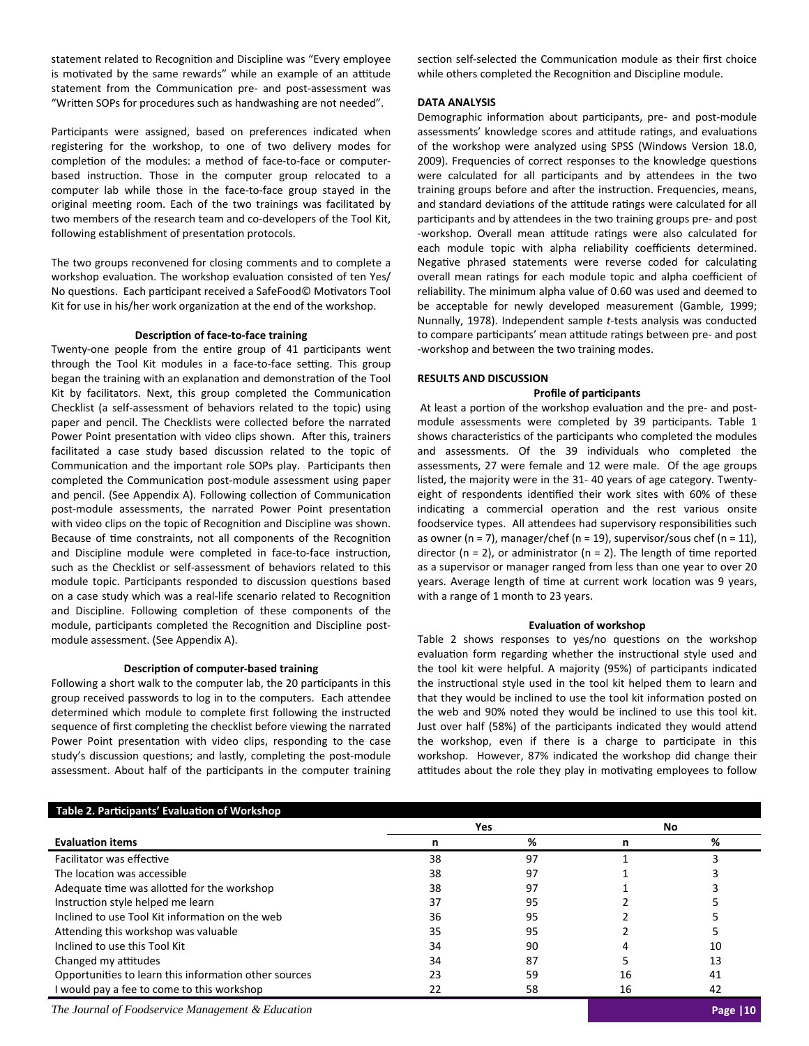statement related to Recognition and Discipline was "Every employee is motivated by the same rewards" while an example of an attitude statement from the Communication pre- and post-assessment was "Written SOPs for procedures such as handwashing are not needed".

Participants were assigned, based on preferences indicated when registering for the workshop, to one of two delivery modes for completion of the modules: a method of face-to-face or computerbased instruction. Those in the computer group relocated to a computer lab while those in the face-to-face group stayed in the original meeting room. Each of the two trainings was facilitated by two members of the research team and co‐developers of the Tool Kit, following establishment of presentation protocols.

The two groups reconvened for closing comments and to complete a workshop evaluation. The workshop evaluation consisted of ten Yes/ No questions. Each participant received a SafeFood© Motivators Tool Kit for use in his/her work organization at the end of the workshop.

## **DescripƟon of face‐to‐face training**

Twenty-one people from the entire group of 41 participants went through the Tool Kit modules in a face-to-face setting. This group began the training with an explanation and demonstration of the Tool Kit by facilitators. Next, this group completed the Communication Checklist (a self‐assessment of behaviors related to the topic) using paper and pencil. The Checklists were collected before the narrated Power Point presentation with video clips shown. After this, trainers facilitated a case study based discussion related to the topic of Communication and the important role SOPs play. Participants then completed the Communication post-module assessment using paper and pencil. (See Appendix A). Following collection of Communication post-module assessments, the narrated Power Point presentation with video clips on the topic of Recognition and Discipline was shown. Because of time constraints, not all components of the Recognition and Discipline module were completed in face-to-face instruction, such as the Checklist or self‐assessment of behaviors related to this module topic. Participants responded to discussion questions based on a case study which was a real-life scenario related to Recognition and Discipline. Following completion of these components of the module, participants completed the Recognition and Discipline postmodule assessment. (See Appendix A).

#### **DescripƟon of computer‐based training**

Following a short walk to the computer lab, the 20 participants in this group received passwords to log in to the computers. Each attendee determined which module to complete first following the instructed sequence of first completing the checklist before viewing the narrated Power Point presentation with video clips, responding to the case study's discussion questions; and lastly, completing the post-module assessment. About half of the participants in the computer training section self-selected the Communication module as their first choice while others completed the Recognition and Discipline module.

#### **DATA ANALYSIS**

Demographic information about participants, pre- and post-module assessments' knowledge scores and attitude ratings, and evaluations of the workshop were analyzed using SPSS (Windows Version 18.0, 2009). Frequencies of correct responses to the knowledge questions were calculated for all participants and by attendees in the two training groups before and after the instruction. Frequencies, means, and standard deviations of the attitude ratings were calculated for all participants and by attendees in the two training groups pre- and post -workshop. Overall mean attitude ratings were also calculated for each module topic with alpha reliability coefficients determined. Negative phrased statements were reverse coded for calculating overall mean ratings for each module topic and alpha coefficient of reliability. The minimum alpha value of 0.60 was used and deemed to be acceptable for newly developed measurement (Gamble, 1999; Nunnally, 1978). Independent sample *t*‐tests analysis was conducted to compare participants' mean attitude ratings between pre- and post ‐workshop and between the two training modes.

#### **RESULTS AND DISCUSSION**

## **Profile of parƟcipants**

At least a portion of the workshop evaluation and the pre- and postmodule assessments were completed by 39 participants. Table 1 shows characteristics of the participants who completed the modules and assessments. Of the 39 individuals who completed the assessments, 27 were female and 12 were male. Of the age groups listed, the majority were in the 31‐ 40 years of age category. Twenty‐ eight of respondents identified their work sites with 60% of these indicating a commercial operation and the rest various onsite foodservice types. All attendees had supervisory responsibilities such as owner (n = 7), manager/chef (n = 19), supervisor/sous chef (n = 11), director ( $n = 2$ ), or administrator ( $n = 2$ ). The length of time reported as a supervisor or manager ranged from less than one year to over 20 years. Average length of time at current work location was 9 years, with a range of 1 month to 23 years.

#### **EvaluaƟon of workshop**

Table 2 shows responses to yes/no questions on the workshop evaluation form regarding whether the instructional style used and the tool kit were helpful. A majority (95%) of participants indicated the instructional style used in the tool kit helped them to learn and that they would be inclined to use the tool kit information posted on the web and 90% noted they would be inclined to use this tool kit. Just over half (58%) of the participants indicated they would attend the workshop, even if there is a charge to participate in this workshop. However, 87% indicated the workshop did change their attitudes about the role they play in motivating employees to follow

| Table 2. Participants' Evaluation of Workshop         |    |     |    |     |
|-------------------------------------------------------|----|-----|----|-----|
|                                                       |    | Yes |    | No. |
| <b>Evaluation items</b>                               | n  | ℅   | n  | ℅   |
| Facilitator was effective                             | 38 | 97  |    |     |
| The location was accessible                           | 38 | 97  |    |     |
| Adequate time was allotted for the workshop           | 38 | 97  |    |     |
| Instruction style helped me learn                     | 37 | 95  |    |     |
| Inclined to use Tool Kit information on the web       | 36 | 95  |    |     |
| Attending this workshop was valuable                  | 35 | 95  |    |     |
| Inclined to use this Tool Kit                         | 34 | 90  |    | 10  |
| Changed my attitudes                                  | 34 | 87  |    | 13  |
| Opportunities to learn this information other sources | 23 | 59  | 16 | 41  |
| I would pay a fee to come to this workshop            | 22 | 58  | 16 | 42  |

*The Journal of Foodservice Management & Education* **Page |10**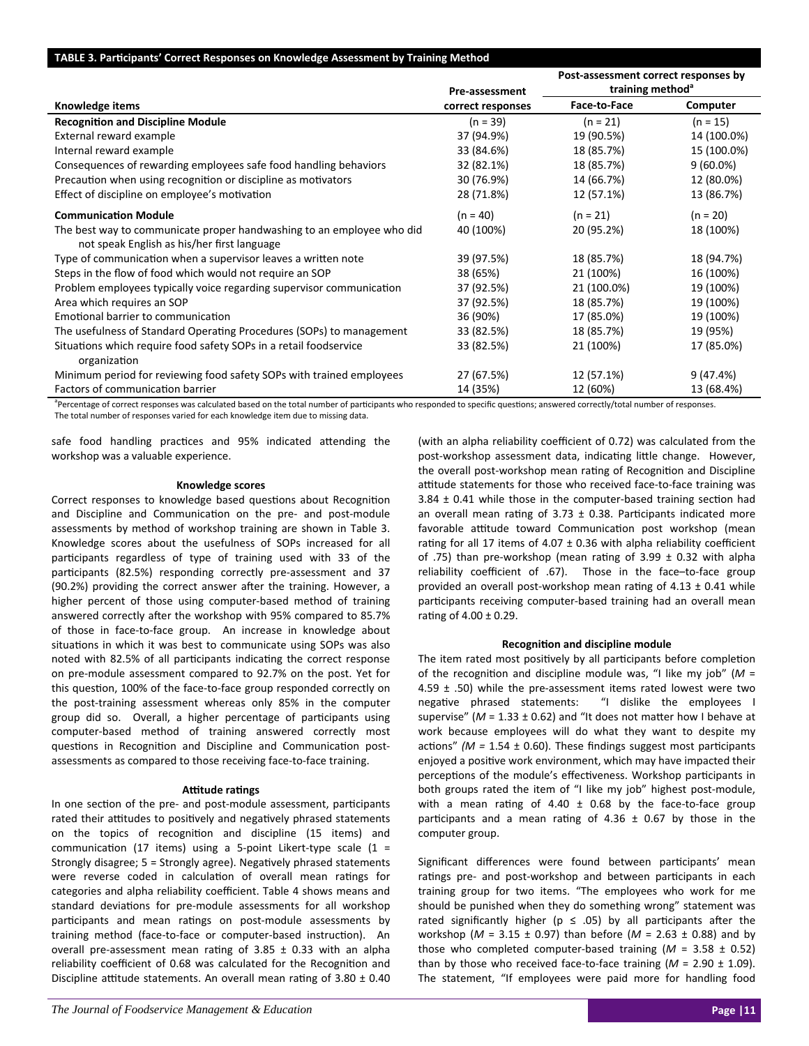## **TABLE 3. ParƟcipants' Correct Responses on Knowledge Assessment by Training Method**

|                                                                                                                      |                   | Post-assessment correct responses by |             |  |
|----------------------------------------------------------------------------------------------------------------------|-------------------|--------------------------------------|-------------|--|
|                                                                                                                      | Pre-assessment    | training method <sup>a</sup>         |             |  |
| Knowledge items                                                                                                      | correct responses | Face-to-Face                         | Computer    |  |
| <b>Recognition and Discipline Module</b>                                                                             | $(n = 39)$        | $(n = 21)$                           | $(n = 15)$  |  |
| External reward example                                                                                              | 37 (94.9%)        | 19 (90.5%)                           | 14 (100.0%) |  |
| Internal reward example                                                                                              | 33 (84.6%)        | 18 (85.7%)                           | 15 (100.0%) |  |
| Consequences of rewarding employees safe food handling behaviors                                                     | 32 (82.1%)        | 18 (85.7%)                           | $9(60.0\%)$ |  |
| Precaution when using recognition or discipline as motivators                                                        | 30 (76.9%)        | 14 (66.7%)                           | 12 (80.0%)  |  |
| Effect of discipline on employee's motivation                                                                        | 28 (71.8%)        | 12 (57.1%)                           | 13 (86.7%)  |  |
| <b>Communication Module</b>                                                                                          | $(n = 40)$        | $(n = 21)$                           | $(n = 20)$  |  |
| The best way to communicate proper handwashing to an employee who did<br>not speak English as his/her first language | 40 (100%)         | 20 (95.2%)                           | 18 (100%)   |  |
| Type of communication when a supervisor leaves a written note                                                        | 39 (97.5%)        | 18 (85.7%)                           | 18 (94.7%)  |  |
| Steps in the flow of food which would not require an SOP                                                             | 38 (65%)          | 21 (100%)                            | 16 (100%)   |  |
| Problem employees typically voice regarding supervisor communication                                                 | 37 (92.5%)        | 21 (100.0%)                          | 19 (100%)   |  |
| Area which requires an SOP                                                                                           | 37 (92.5%)        | 18 (85.7%)                           | 19 (100%)   |  |
| Emotional barrier to communication                                                                                   | 36 (90%)          | 17 (85.0%)                           | 19 (100%)   |  |
| The usefulness of Standard Operating Procedures (SOPs) to management                                                 | 33 (82.5%)        | 18 (85.7%)                           | 19 (95%)    |  |
| Situations which require food safety SOPs in a retail foodservice<br>organization                                    | 33 (82.5%)        | 21 (100%)                            | 17 (85.0%)  |  |
| Minimum period for reviewing food safety SOPs with trained employees                                                 | 27 (67.5%)        | 12 (57.1%)                           | 9(47.4%)    |  |
| Factors of communication barrier                                                                                     | 14 (35%)          | 12 (60%)                             | 13 (68.4%)  |  |

<sup>a</sup>Percentage of correct responses was calculated based on the total number of participants who responded to specific questions; answered correctly/total number of responses. The total number of responses varied for each knowledge item due to missing data.

safe food handling practices and 95% indicated attending the workshop was a valuable experience.

## **Knowledge scores**

Correct responses to knowledge based questions about Recognition and Discipline and Communication on the pre- and post-module assessments by method of workshop training are shown in Table 3. Knowledge scores about the usefulness of SOPs increased for all participants regardless of type of training used with 33 of the participants (82.5%) responding correctly pre-assessment and 37 (90.2%) providing the correct answer after the training. However, a higher percent of those using computer-based method of training answered correctly after the workshop with 95% compared to 85.7% of those in face-to-face group. An increase in knowledge about situations in which it was best to communicate using SOPs was also noted with 82.5% of all participants indicating the correct response on pre‐module assessment compared to 92.7% on the post. Yet for this question, 100% of the face-to-face group responded correctly on the post-training assessment whereas only 85% in the computer group did so. Overall, a higher percentage of participants using computer‐based method of training answered correctly most questions in Recognition and Discipline and Communication postassessments as compared to those receiving face‐to‐face training.

## **Aƫtude raƟngs**

In one section of the pre- and post-module assessment, participants rated their attitudes to positively and negatively phrased statements on the topics of recognition and discipline (15 items) and communication (17 items) using a 5-point Likert-type scale (1 = Strongly disagree; 5 = Strongly agree). Negatively phrased statements were reverse coded in calculation of overall mean ratings for categories and alpha reliability coefficient. Table 4 shows means and standard deviations for pre-module assessments for all workshop participants and mean ratings on post-module assessments by training method (face-to-face or computer-based instruction). An overall pre-assessment mean rating of  $3.85 \pm 0.33$  with an alpha reliability coefficient of 0.68 was calculated for the Recognition and Discipline attitude statements. An overall mean rating of  $3.80 \pm 0.40$ 

(with an alpha reliability coefficient of 0.72) was calculated from the post-workshop assessment data, indicating little change. However, the overall post-workshop mean rating of Recognition and Discipline attitude statements for those who received face-to-face training was  $3.84 \pm 0.41$  while those in the computer-based training section had an overall mean rating of 3.73  $\pm$  0.38. Participants indicated more favorable attitude toward Communication post workshop (mean rating for all 17 items of 4.07  $\pm$  0.36 with alpha reliability coefficient of .75) than pre-workshop (mean rating of 3.99  $\pm$  0.32 with alpha reliability coefficient of .67). Those in the face-to-face group provided an overall post-workshop mean rating of  $4.13 \pm 0.41$  while participants receiving computer-based training had an overall mean rating of  $4.00 \pm 0.29$ .

## **RecogniƟon and discipline module**

The item rated most positively by all participants before completion of the recognition and discipline module was, "I like my job" ( $M =$ 4.59  $\pm$  .50) while the pre-assessment items rated lowest were two negative phrased statements: "I dislike the employees I supervise" ( $M = 1.33 \pm 0.62$ ) and "It does not matter how I behave at work because employees will do what they want to despite my actions"  $(M = 1.54 \pm 0.60)$ . These findings suggest most participants enjoyed a positive work environment, which may have impacted their perceptions of the module's effectiveness. Workshop participants in both groups rated the item of "I like my job" highest post-module, with a mean rating of 4.40  $\pm$  0.68 by the face-to-face group participants and a mean rating of 4.36  $\pm$  0.67 by those in the computer group.

Significant differences were found between participants' mean ratings pre- and post-workshop and between participants in each training group for two items. "The employees who work for me should be punished when they do something wrong" statement was rated significantly higher ( $p \le .05$ ) by all participants after the workshop ( $M = 3.15 \pm 0.97$ ) than before ( $M = 2.63 \pm 0.88$ ) and by those who completed computer-based training  $(M = 3.58 \pm 0.52)$ than by those who received face-to-face training  $(M = 2.90 \pm 1.09)$ . The statement, "If employees were paid more for handling food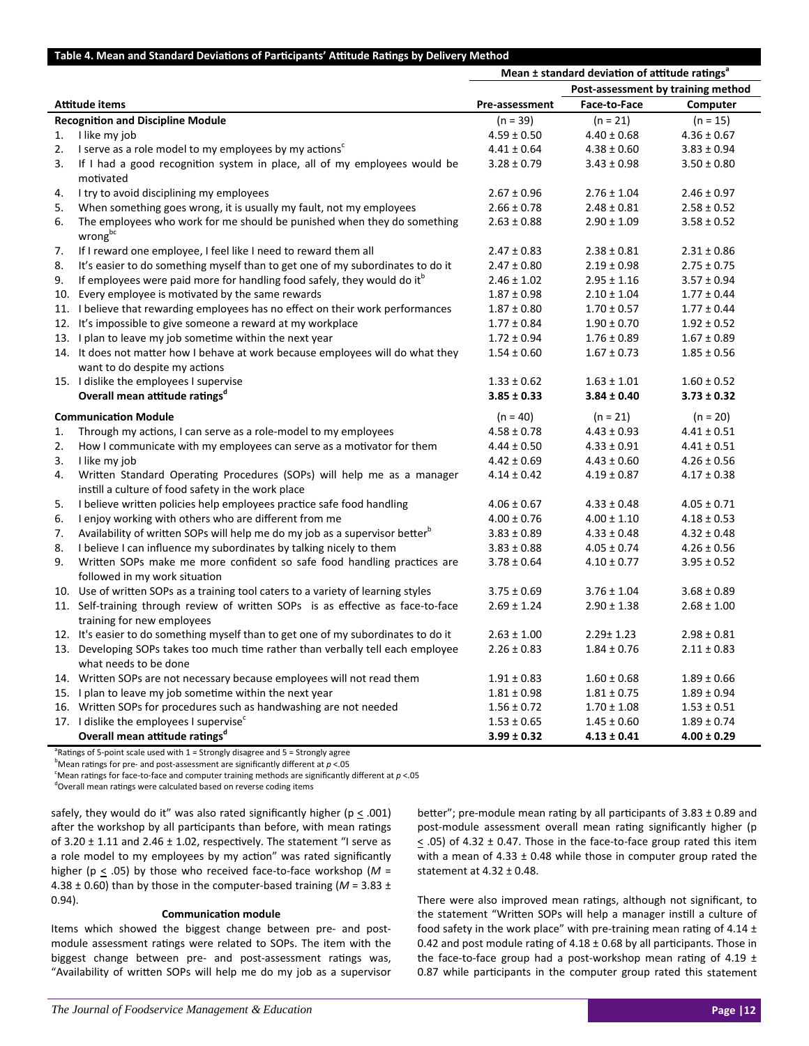## Table 4. Mean and Standard Deviations of Participants' Attitude Ratings by Delivery Method

|    |                                                                                                                              | Mean ± standard deviation of attitude ratings <sup>®</sup> |                 |                 |  |
|----|------------------------------------------------------------------------------------------------------------------------------|------------------------------------------------------------|-----------------|-----------------|--|
|    |                                                                                                                              | Post-assessment by training method                         |                 |                 |  |
|    | Attitude items                                                                                                               | Pre-assessment                                             | Face-to-Face    | Computer        |  |
|    | <b>Recognition and Discipline Module</b>                                                                                     | $(n = 39)$                                                 | $(n = 21)$      | $(n = 15)$      |  |
| 1. | I like my job                                                                                                                | $4.59 \pm 0.50$                                            | $4.40 \pm 0.68$ | $4.36 \pm 0.67$ |  |
| 2. | I serve as a role model to my employees by my actions <sup>c</sup>                                                           | $4.41 \pm 0.64$                                            | $4.38 \pm 0.60$ | $3.83 \pm 0.94$ |  |
| 3. | If I had a good recognition system in place, all of my employees would be<br>motivated                                       | $3.28 \pm 0.79$                                            | $3.43 \pm 0.98$ | $3.50 \pm 0.80$ |  |
| 4. | I try to avoid disciplining my employees                                                                                     | $2.67 \pm 0.96$                                            | $2.76 \pm 1.04$ | $2.46 \pm 0.97$ |  |
| 5. | When something goes wrong, it is usually my fault, not my employees                                                          | $2.66 \pm 0.78$                                            | $2.48 \pm 0.81$ | $2.58 \pm 0.52$ |  |
| 6. | The employees who work for me should be punished when they do something<br>wrongbc                                           | $2.63 \pm 0.88$                                            | $2.90 \pm 1.09$ | $3.58 \pm 0.52$ |  |
| 7. | If I reward one employee, I feel like I need to reward them all                                                              | $2.47 \pm 0.83$                                            | $2.38 \pm 0.81$ | $2.31 \pm 0.86$ |  |
| 8. | It's easier to do something myself than to get one of my subordinates to do it                                               | $2.47 \pm 0.80$                                            | $2.19 \pm 0.98$ | $2.75 \pm 0.75$ |  |
| 9. | If employees were paid more for handling food safely, they would do it <sup>o</sup>                                          | $2.46 \pm 1.02$                                            | $2.95 \pm 1.16$ | $3.57 \pm 0.94$ |  |
|    | 10. Every employee is motivated by the same rewards                                                                          | $1.87 \pm 0.98$                                            | $2.10 \pm 1.04$ | $1.77 \pm 0.44$ |  |
|    | 11. I believe that rewarding employees has no effect on their work performances                                              | $1.87 \pm 0.80$                                            | $1.70 \pm 0.57$ | $1.77 \pm 0.44$ |  |
|    | 12. It's impossible to give someone a reward at my workplace                                                                 | $1.77 \pm 0.84$                                            | $1.90 \pm 0.70$ | $1.92 \pm 0.52$ |  |
|    | 13. I plan to leave my job sometime within the next year                                                                     | $1.72 \pm 0.94$                                            | $1.76 \pm 0.89$ | $1.67 \pm 0.89$ |  |
|    | 14. It does not matter how I behave at work because employees will do what they<br>want to do despite my actions             | $1.54 \pm 0.60$                                            | $1.67 \pm 0.73$ | $1.85 \pm 0.56$ |  |
|    | 15. I dislike the employees I supervise                                                                                      | $1.33 \pm 0.62$                                            | $1.63 \pm 1.01$ | $1.60 \pm 0.52$ |  |
|    | Overall mean attitude ratings <sup>d</sup>                                                                                   | $3.85 \pm 0.33$                                            | $3.84 \pm 0.40$ | $3.73 \pm 0.32$ |  |
|    | <b>Communication Module</b>                                                                                                  | $(n = 40)$                                                 | $(n = 21)$      | $(n = 20)$      |  |
| 1. | Through my actions, I can serve as a role-model to my employees                                                              | $4.58 \pm 0.78$                                            | $4.43 \pm 0.93$ | $4.41 \pm 0.51$ |  |
| 2. | How I communicate with my employees can serve as a motivator for them                                                        | $4.44 \pm 0.50$                                            | $4.33 \pm 0.91$ | $4.41 \pm 0.51$ |  |
| 3. | I like my job                                                                                                                | $4.42 \pm 0.69$                                            | $4.43 \pm 0.60$ | $4.26 \pm 0.56$ |  |
| 4. | Written Standard Operating Procedures (SOPs) will help me as a manager<br>instill a culture of food safety in the work place | $4.14 \pm 0.42$                                            | $4.19 \pm 0.87$ | $4.17 \pm 0.38$ |  |
| 5. | I believe written policies help employees practice safe food handling                                                        | $4.06 \pm 0.67$                                            | $4.33 \pm 0.48$ | $4.05 \pm 0.71$ |  |
| 6. | I enjoy working with others who are different from me                                                                        | $4.00 \pm 0.76$                                            | $4.00 \pm 1.10$ | $4.18 \pm 0.53$ |  |
| 7. | Availability of written SOPs will help me do my job as a supervisor better                                                   | $3.83 \pm 0.89$                                            | $4.33 \pm 0.48$ | $4.32 \pm 0.48$ |  |
| 8. | I believe I can influence my subordinates by talking nicely to them                                                          | $3.83 \pm 0.88$                                            | $4.05 \pm 0.74$ | $4.26 \pm 0.56$ |  |
| 9. | Written SOPs make me more confident so safe food handling practices are<br>followed in my work situation                     | $3.78 \pm 0.64$                                            | $4.10 \pm 0.77$ | $3.95 \pm 0.52$ |  |
|    | 10. Use of written SOPs as a training tool caters to a variety of learning styles                                            | $3.75 \pm 0.69$                                            | $3.76 \pm 1.04$ | $3.68 \pm 0.89$ |  |
|    | 11. Self-training through review of written SOPs is as effective as face-to-face<br>training for new employees               | $2.69 \pm 1.24$                                            | $2.90 \pm 1.38$ | $2.68 \pm 1.00$ |  |
|    | 12. It's easier to do something myself than to get one of my subordinates to do it                                           | $2.63 \pm 1.00$                                            | $2.29 \pm 1.23$ | $2.98 \pm 0.81$ |  |
|    | 13. Developing SOPs takes too much time rather than verbally tell each employee<br>what needs to be done                     | $2.26 \pm 0.83$                                            | $1.84 \pm 0.76$ | $2.11 \pm 0.83$ |  |
|    | 14. Written SOPs are not necessary because employees will not read them                                                      | $1.91 \pm 0.83$                                            | $1.60 \pm 0.68$ | $1.89 \pm 0.66$ |  |
|    | 15. I plan to leave my job sometime within the next year                                                                     | $1.81 \pm 0.98$                                            | $1.81 \pm 0.75$ | $1.89 \pm 0.94$ |  |
|    | 16. Written SOPs for procedures such as handwashing are not needed                                                           | $1.56 \pm 0.72$                                            | $1.70 \pm 1.08$ | $1.53 \pm 0.51$ |  |
|    | 17. I dislike the employees I supervise <sup>c</sup>                                                                         | $1.53 \pm 0.65$                                            | $1.45 \pm 0.60$ | $1.89 \pm 0.74$ |  |
|    | Overall mean attitude ratings <sup>d</sup>                                                                                   | $3.99 \pm 0.32$                                            | $4.13 \pm 0.41$ | $4.00 \pm 0.29$ |  |

<sup>a</sup>Ratings of 5-point scale used with 1 = Strongly disagree and 5 = Strongly agree

 $^{\text{b}}$ Mean ratings for pre- and post-assessment are significantly different at  $p < 05$ 

<sup>c</sup>Mean ratings for face-to-face and computer training methods are significantly different at  $p < 05$ 

dOverall mean ratings were calculated based on reverse coding items

safely, they would do it" was also rated significantly higher ( $p \leq .001$ ) after the workshop by all participants than before, with mean ratings of 3.20  $\pm$  1.11 and 2.46  $\pm$  1.02, respectively. The statement "I serve as a role model to my employees by my action" was rated significantly higher ( $p \leq .05$ ) by those who received face-to-face workshop ( $M =$ 4.38  $\pm$  0.60) than by those in the computer-based training ( $M = 3.83 \pm$ 0.94).

#### **CommunicaƟon module**

Items which showed the biggest change between pre‐ and post‐ module assessment ratings were related to SOPs. The item with the biggest change between pre- and post-assessment ratings was, "Availability of written SOPs will help me do my job as a supervisor

better"; pre-module mean rating by all participants of  $3.83 \pm 0.89$  and post-module assessment overall mean rating significantly higher (p  $\le$  .05) of 4.32  $\pm$  0.47. Those in the face-to-face group rated this item with a mean of 4.33  $\pm$  0.48 while those in computer group rated the statement at 4.32 ± 0.48.

There were also improved mean ratings, although not significant, to the statement "Written SOPs will help a manager instill a culture of food safety in the work place" with pre-training mean rating of 4.14  $\pm$ 0.42 and post module rating of  $4.18 \pm 0.68$  by all participants. Those in the face-to-face group had a post-workshop mean rating of 4.19  $\pm$ 0.87 while participants in the computer group rated this statement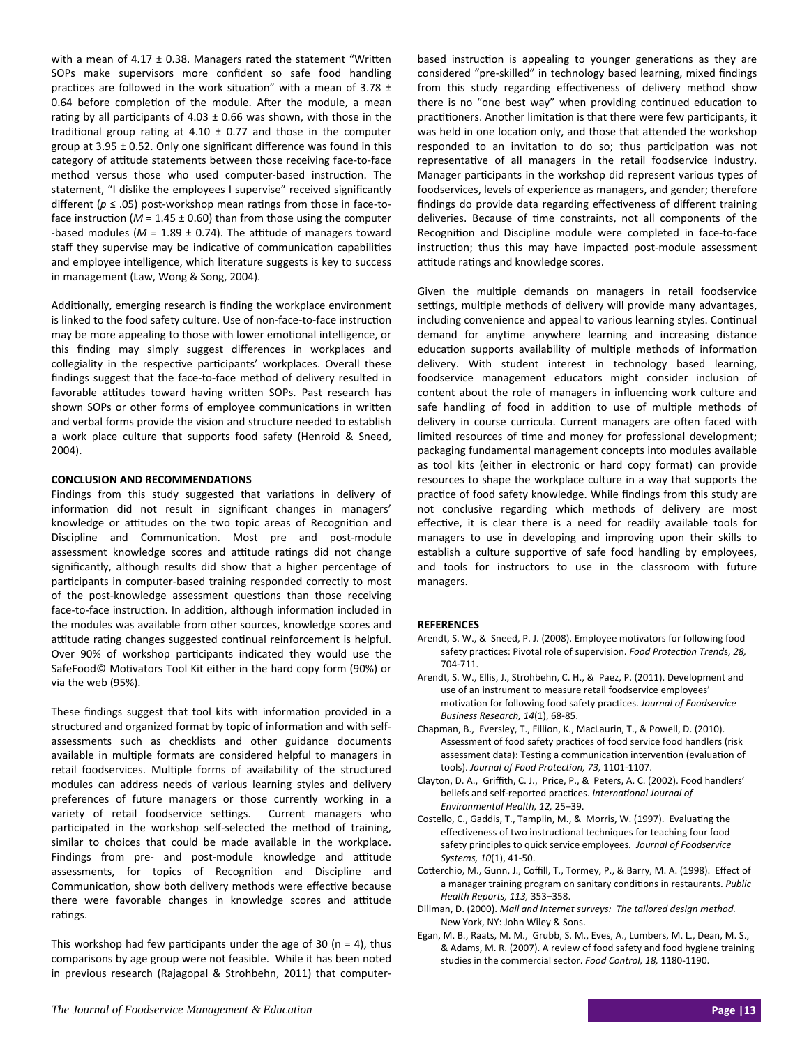with a mean of 4.17  $\pm$  0.38. Managers rated the statement "Written SOPs make supervisors more confident so safe food handling practices are followed in the work situation" with a mean of 3.78  $\pm$ 0.64 before completion of the module. After the module, a mean rating by all participants of 4.03  $\pm$  0.66 was shown, with those in the traditional group rating at 4.10  $\pm$  0.77 and those in the computer group at  $3.95 \pm 0.52$ . Only one significant difference was found in this category of attitude statements between those receiving face-to-face method versus those who used computer-based instruction. The statement, "I dislike the employees I supervise" received significantly different ( $p \le .05$ ) post-workshop mean ratings from those in face-toface instruction ( $M = 1.45 \pm 0.60$ ) than from those using the computer -based modules ( $M = 1.89 \pm 0.74$ ). The attitude of managers toward staff they supervise may be indicative of communication capabilities and employee intelligence, which literature suggests is key to success in management (Law, Wong & Song, 2004).

Additionally, emerging research is finding the workplace environment is linked to the food safety culture. Use of non-face-to-face instruction may be more appealing to those with lower emotional intelligence, or this finding may simply suggest differences in workplaces and collegiality in the respective participants' workplaces. Overall these findings suggest that the face‐to‐face method of delivery resulted in favorable attitudes toward having written SOPs. Past research has shown SOPs or other forms of employee communications in written and verbal forms provide the vision and structure needed to establish a work place culture that supports food safety (Henroid & Sneed, 2004).

## **CONCLUSION AND RECOMMENDATIONS**

Findings from this study suggested that variations in delivery of information did not result in significant changes in managers' knowledge or attitudes on the two topic areas of Recognition and Discipline and Communication. Most pre and post-module assessment knowledge scores and attitude ratings did not change significantly, although results did show that a higher percentage of participants in computer-based training responded correctly to most of the post-knowledge assessment questions than those receiving face-to-face instruction. In addition, although information included in the modules was available from other sources, knowledge scores and attitude rating changes suggested continual reinforcement is helpful. Over 90% of workshop participants indicated they would use the SafeFood© Motivators Tool Kit either in the hard copy form (90%) or via the web (95%).

These findings suggest that tool kits with information provided in a structured and organized format by topic of information and with selfassessments such as checklists and other guidance documents available in multiple formats are considered helpful to managers in retail foodservices. Multiple forms of availability of the structured modules can address needs of various learning styles and delivery preferences of future managers or those currently working in a variety of retail foodservice settings. Current managers who participated in the workshop self-selected the method of training, similar to choices that could be made available in the workplace. Findings from pre- and post-module knowledge and attitude assessments, for topics of Recognition and Discipline and Communication, show both delivery methods were effective because there were favorable changes in knowledge scores and attitude ratings.

This workshop had few participants under the age of 30 ( $n = 4$ ), thus comparisons by age group were not feasible. While it has been noted in previous research (Rajagopal & Strohbehn, 2011) that computer‐ based instruction is appealing to younger generations as they are considered "pre‐skilled" in technology based learning, mixed findings from this study regarding effectiveness of delivery method show there is no "one best way" when providing continued education to practitioners. Another limitation is that there were few participants, it was held in one location only, and those that attended the workshop responded to an invitation to do so; thus participation was not representative of all managers in the retail foodservice industry. Manager participants in the workshop did represent various types of foodservices, levels of experience as managers, and gender; therefore findings do provide data regarding effectiveness of different training deliveries. Because of time constraints, not all components of the Recognition and Discipline module were completed in face-to-face instruction; thus this may have impacted post-module assessment attitude ratings and knowledge scores.

Given the multiple demands on managers in retail foodservice settings, multiple methods of delivery will provide many advantages, including convenience and appeal to various learning styles. Continual demand for anytime anywhere learning and increasing distance education supports availability of multiple methods of information delivery. With student interest in technology based learning, foodservice management educators might consider inclusion of content about the role of managers in influencing work culture and safe handling of food in addition to use of multiple methods of delivery in course curricula. Current managers are often faced with limited resources of time and money for professional development; packaging fundamental management concepts into modules available as tool kits (either in electronic or hard copy format) can provide resources to shape the workplace culture in a way that supports the practice of food safety knowledge. While findings from this study are not conclusive regarding which methods of delivery are most effective, it is clear there is a need for readily available tools for managers to use in developing and improving upon their skills to establish a culture supportive of safe food handling by employees, and tools for instructors to use in the classroom with future managers.

## **REFERENCES**

- Arendt, S. W., & Sneed, P. J. (2008). Employee motivators for following food safety pracƟces: Pivotal role of supervision. *Food ProtecƟon Trend*s, *28,* 704‐711.
- Arendt, S. W., Ellis, J., Strohbehn, C. H., & Paez, P. (2011). Development and use of an instrument to measure retail foodservice employees' moƟvaƟon for following food safety pracƟces. *Journal of Foodservice Business Research, 14*(1), 68‐85.
- Chapman, B., Eversley, T., Fillion, K., MacLaurin, T., & Powell, D. (2010). Assessment of food safety practices of food service food handlers (risk assessment data): Testing a communication intervention (evaluation of tools). *Journal of Food ProtecƟon, 73,* 1101‐1107.
- Clayton, D. A., Griffith, C. J., Price, P., & Peters, A. C. (2002). Food handlers' beliefs and self‐reported pracƟces. *InternaƟonal Journal of Environmental Health, 12,* 25–39.
- Costello, C., Gaddis, T., Tamplin, M., & Morris, W. (1997). Evaluating the effectiveness of two instructional techniques for teaching four food safety principles to quick service employees*. Journal of Foodservice Systems, 10*(1), 41‐50.
- Cotterchio, M., Gunn, J., Coffill, T., Tormey, P., & Barry, M. A. (1998). Effect of a manager training program on sanitary conditions in restaurants. Public *Health Reports, 113,* 353–358.
- Dillman, D. (2000). *Mail and Internet surveys: The tailored design method.* New York, NY: John Wiley & Sons.
- Egan, M. B., Raats, M. M., Grubb, S. M., Eves, A., Lumbers, M. L., Dean, M. S., & Adams, M. R. (2007). A review of food safety and food hygiene training studies in the commercial sector. *Food Control, 18,* 1180‐1190.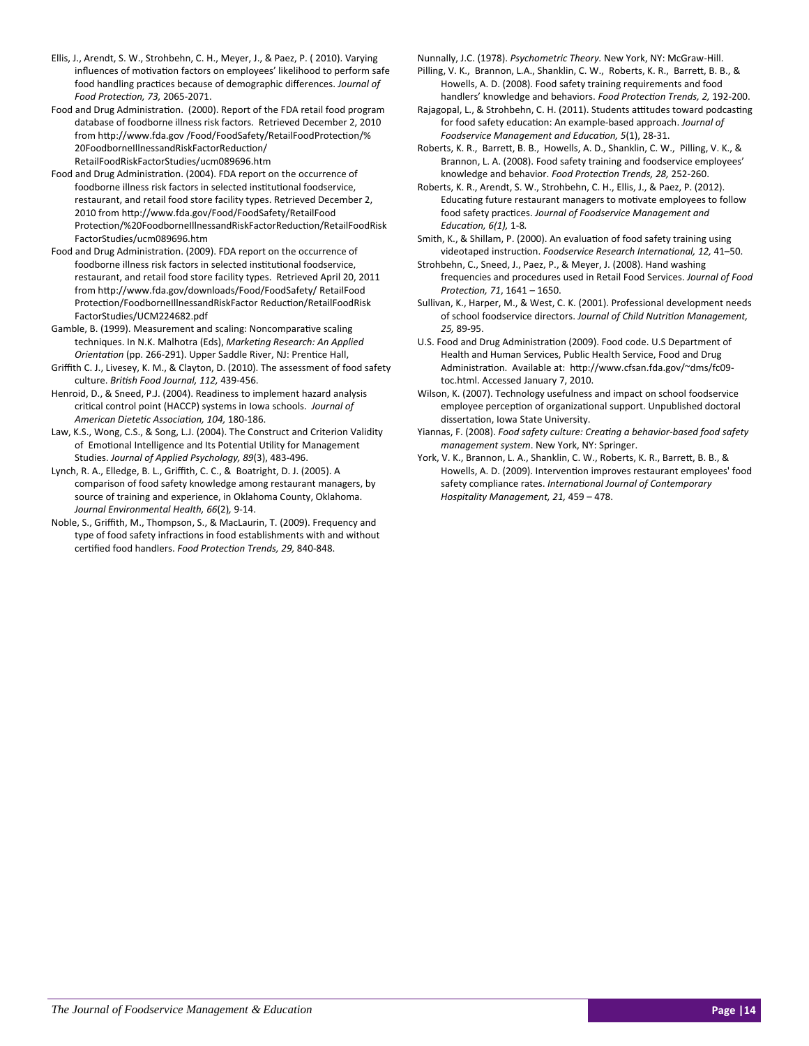- Ellis, J., Arendt, S. W., Strohbehn, C. H., Meyer, J., & Paez, P. ( 2010). Varying influences of motivation factors on employees' likelihood to perform safe food handling pracƟces because of demographic differences. *Journal of Food ProtecƟon, 73,* 2065‐2071.
- Food and Drug Administration. (2000). Report of the FDA retail food program database of foodborne illness risk factors. Retrieved December 2, 2010 from http://www.fda.gov/Food/FoodSafety/RetailFoodProtection/% 20FoodborneIllnessandRiskFactorReduction/ RetailFoodRiskFactorStudies/ucm089696.htm
- Food and Drug Administration. (2004). FDA report on the occurrence of foodborne illness risk factors in selected institutional foodservice, restaurant, and retail food store facility types. Retrieved December 2, 2010 from http://www.fda.gov/Food/FoodSafety/RetailFood Protection/%20FoodborneIllnessandRiskFactorReduction/RetailFoodRisk FactorStudies/ucm089696.htm
- Food and Drug Administration. (2009). FDA report on the occurrence of foodborne illness risk factors in selected institutional foodservice, restaurant, and retail food store facility types. Retrieved April 20, 2011 from hƩp://www.fda.gov/downloads/Food/FoodSafety/ RetailFood Protection/FoodborneIllnessandRiskFactor Reduction/RetailFoodRisk FactorStudies/UCM224682.pdf
- Gamble, B. (1999). Measurement and scaling: Noncomparative scaling techniques. In N.K. Malhotra (Eds), *MarkeƟng Research: An Applied OrientaƟon* (pp. 266‐291). Upper Saddle River, NJ: PrenƟce Hall,
- Griffith C. J., Livesey, K. M., & Clayton, D. (2010). The assessment of food safety culture. *BriƟsh Food Journal, 112,* 439‐456.
- Henroid, D., & Sneed, P.J. (2004). Readiness to implement hazard analysis critical control point (HACCP) systems in Iowa schools. Journal of *American DieteƟc AssociaƟon, 104,* 180‐186.
- Law, K.S., Wong, C.S., & Song, L.J. (2004). The Construct and Criterion Validity of Emotional Intelligence and Its Potential Utility for Management Studies. *Journal of Applied Psychology, 89*(3), 483‐496.
- Lynch, R. A., Elledge, B. L., Griffith, C. C., & Boatright, D. J. (2005). A comparison of food safety knowledge among restaurant managers, by source of training and experience, in Oklahoma County, Oklahoma. *Journal Environmental Health, 66*(2)*,* 9‐14.
- Noble, S., Griffith, M., Thompson, S., & MacLaurin, T. (2009). Frequency and type of food safety infractions in food establishments with and without cerƟfied food handlers. *Food ProtecƟon Trends, 29,* 840‐848.

Nunnally, J.C. (1978). *Psychometric Theory.* New York, NY: McGraw‐Hill.

- Pilling, V. K., Brannon, L.A., Shanklin, C. W., Roberts, K. R., Barrett, B. B., & Howells, A. D. (2008). Food safety training requirements and food handlers' knowledge and behaviors. *Food Protection Trends, 2, 192-200.*
- Rajagopal, L., & Strohbehn, C. H. (2011). Students attitudes toward podcasting for food safety educaƟon: An example‐based approach. *Journal of Foodservice Management and EducaƟon, 5*(1), 28‐31.
- Roberts, K. R., Barrett, B. B., Howells, A. D., Shanklin, C. W., Pilling, V. K., & Brannon, L. A. (2008). Food safety training and foodservice employees' knowledge and behavior. *Food ProtecƟon Trends, 28,* 252‐260.
- Roberts, K. R., Arendt, S. W., Strohbehn, C. H., Ellis, J., & Paez, P. (2012). Educating future restaurant managers to motivate employees to follow food safety pracƟces. *Journal of Foodservice Management and EducaƟon, 6(1),* 1‐8*.*
- Smith, K., & Shillam, P. (2000). An evaluation of food safety training using videotaped instrucƟon. *Foodservice Research InternaƟonal, 12,* 41–50.
- Strohbehn, C., Sneed, J., Paez, P., & Meyer, J. (2008). Hand washing frequencies and procedures used in Retail Food Services. *Journal of Food ProtecƟon, 71*, 1641 – 1650.
- Sullivan, K., Harper, M., & West, C. K. (2001). Professional development needs of school foodservice directors. *Journal of Child NutriƟon Management, 25,* 89‐95.
- U.S. Food and Drug Administration (2009). Food code. U.S Department of Health and Human Services, Public Health Service, Food and Drug Administration. Available at: http://www.cfsan.fda.gov/~dms/fc09toc.html. Accessed January 7, 2010.
- Wilson, K. (2007). Technology usefulness and impact on school foodservice employee perception of organizational support. Unpublished doctoral dissertation, Iowa State University.
- Yiannas, F. (2008). *Food safety culture: CreaƟng a behavior‐based food safety management system*. New York, NY: Springer.
- York, V. K., Brannon, L. A., Shanklin, C. W., Roberts, K. R., Barrett, B. B., & Howells, A. D. (2009). Intervention improves restaurant employees' food safety compliance rates. *InternaƟonal Journal of Contemporary Hospitality Management, 21,* 459 – 478.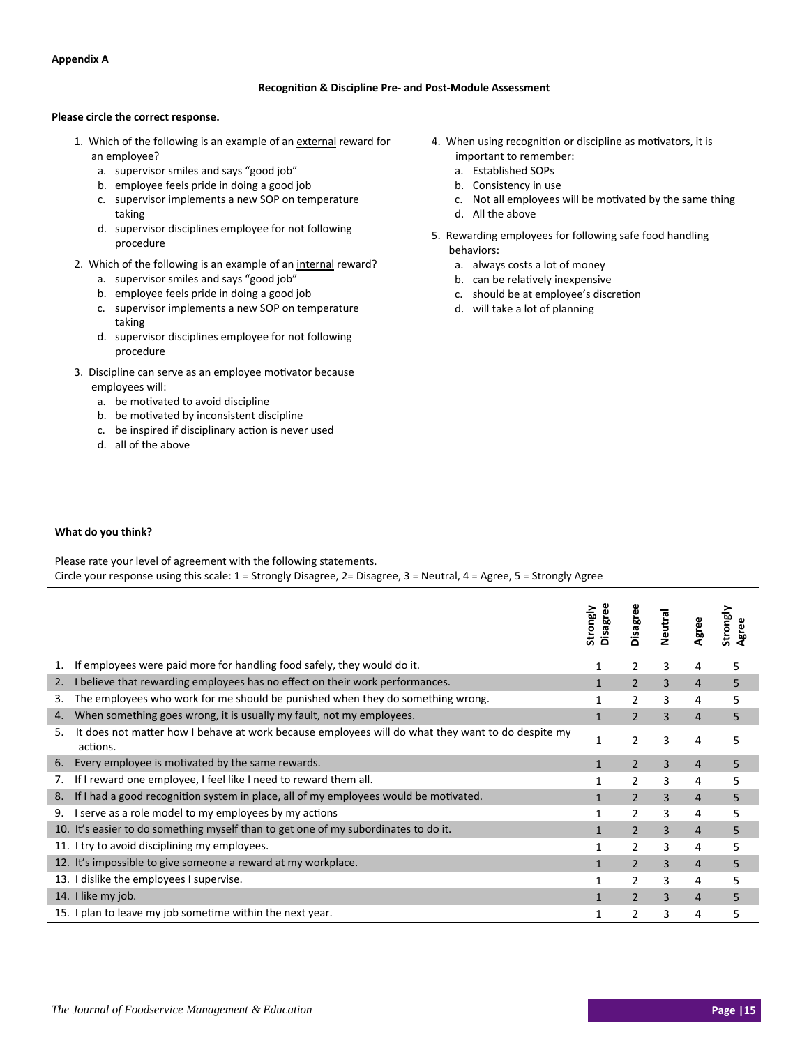## **Appendix A**

## **RecogniƟon & Discipline Pre‐ and Post‐Module Assessment**

## **Please circle the correct response.**

- 1. Which of the following is an example of an external reward for an employee?
	- a. supervisor smiles and says "good job"
	- b. employee feels pride in doing a good job
	- c. supervisor implements a new SOP on temperature taking
	- d. supervisor disciplines employee for not following procedure
- 2. Which of the following is an example of an internal reward?
	- a. supervisor smiles and says "good job"
	- b. employee feels pride in doing a good job
	- c. supervisor implements a new SOP on temperature taking
	- d. supervisor disciplines employee for not following procedure
- 3. Discipline can serve as an employee motivator because employees will:
	- a. be motivated to avoid discipline
	- b. be motivated by inconsistent discipline
	- c. be inspired if disciplinary action is never used
	- d. all of the above
- 4. When using recognition or discipline as motivators, it is important to remember:
	- a. Established SOPs
	- b. Consistency in use
	- c. Not all employees will be motivated by the same thing
	- d. All the above
- 5. Rewarding employees for following safe food handling behaviors:
	- a. always costs a lot of money
	- b. can be relatively inexpensive
	- c. should be at employee's discretion
	- d. will take a lot of planning

## **What do you think?**

Please rate your level of agreement with the following statements.<br>Circle your geograpes using this scale 4. Changly Discuss 2. Discu

| Circle your response using this scale: $1 =$ Strongly Disagree, $2 =$ Disagree, $3 =$ Neutral, $4 =$ Agree, $5 =$ Strongly Agree |  |
|----------------------------------------------------------------------------------------------------------------------------------|--|
|                                                                                                                                  |  |

|    |                                                                                                               | Disagree<br>Strongly | Disagree       | Neutra | Agree          | Strongly<br>Agree |
|----|---------------------------------------------------------------------------------------------------------------|----------------------|----------------|--------|----------------|-------------------|
| 1. | If employees were paid more for handling food safely, they would do it.                                       | 1                    | 2              | 3      | 4              | 5                 |
| 2. | I believe that rewarding employees has no effect on their work performances.                                  |                      | $\overline{2}$ | 3      | $\overline{4}$ | 5                 |
| 3. | The employees who work for me should be punished when they do something wrong.                                |                      | 2              | 3      | 4              | 5                 |
| 4. | When something goes wrong, it is usually my fault, not my employees.                                          |                      | $\overline{2}$ | 3      | $\overline{4}$ | 5                 |
| 5. | It does not matter how I behave at work because employees will do what they want to do despite my<br>actions. | 1                    | 2              | 3      | 4              | 5                 |
| 6. | Every employee is motivated by the same rewards.                                                              |                      | $\overline{2}$ | 3      | $\overline{4}$ | 5                 |
| 7. | If I reward one employee, I feel like I need to reward them all.                                              |                      | 2              | 3      | 4              | 5                 |
| 8. | If I had a good recognition system in place, all of my employees would be motivated.                          |                      | $\overline{2}$ | 3      | $\overline{4}$ | 5                 |
| 9. | I serve as a role model to my employees by my actions                                                         |                      | 2              | 3      | 4              | 5                 |
|    | 10. It's easier to do something myself than to get one of my subordinates to do it.                           |                      | $\overline{2}$ | 3      | $\overline{4}$ | 5                 |
|    | 11. I try to avoid disciplining my employees.                                                                 |                      | 2              | 3      | 4              | 5                 |
|    | 12. It's impossible to give someone a reward at my workplace.                                                 |                      | $\mathcal{P}$  | 3      | $\overline{4}$ | 5                 |
|    | 13. I dislike the employees I supervise.                                                                      |                      | 2              | 3      | 4              | 5                 |
|    | 14. I like my job.                                                                                            |                      | $\mathcal{P}$  | 3      | $\overline{4}$ | 5                 |
|    | 15. I plan to leave my job sometime within the next year.                                                     |                      | 2              | 3      | 4              | 5                 |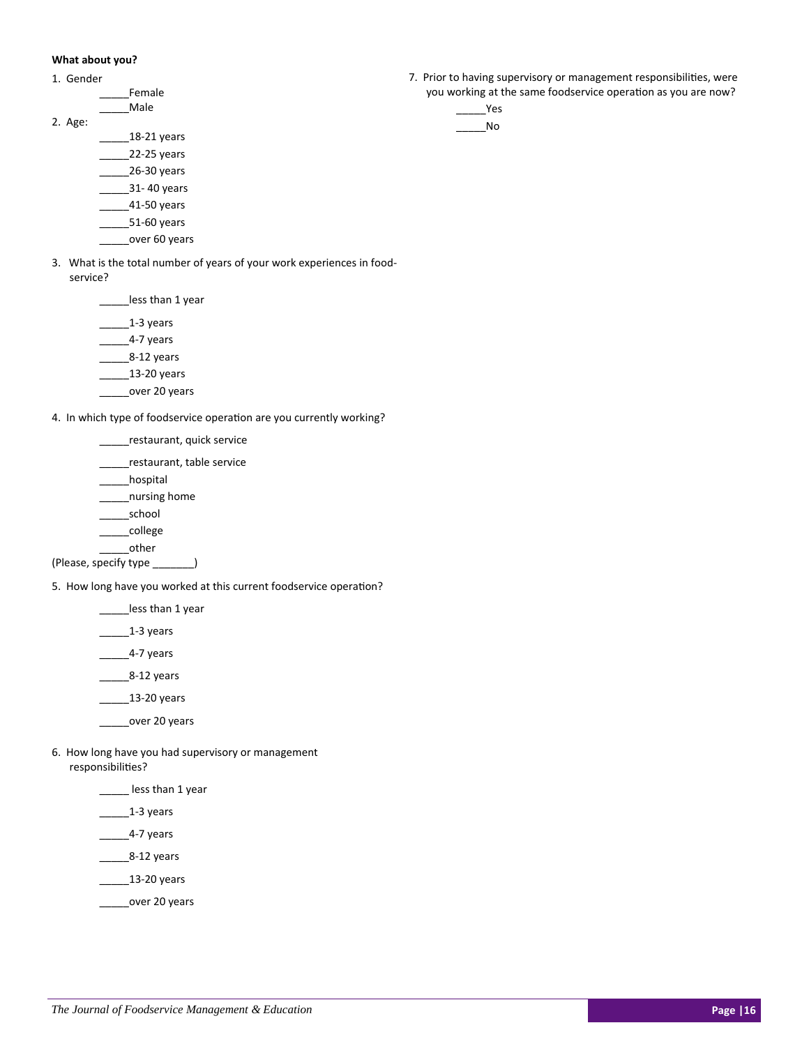## **What about you?**

| Gender |  |
|--------|--|
|--------|--|

|         | Female |
|---------|--------|
|         | Male   |
| 2. Age: |        |

- $\frac{18-21}{2}$  years \_\_\_\_\_22‐25 years \_\_\_\_\_26‐30 years
	- \_\_\_\_\_31‐ 40 years
	- \_\_\_\_\_41‐50 years
	- \_\_\_\_\_51‐60 years
	- \_\_\_\_over 60 years
- 3. What is the total number of years of your work experiences in food‐ service?

less than 1 year

- $\frac{1-3}{2}$  years
- $\frac{4-7}{2}$  years
- $\frac{8-12}{2}$  years
- $\frac{13-20 \text{ years}}{20}$
- \_\_\_\_\_\_over 20 years

4. In which type of foodservice operation are you currently working?

- \_\_\_\_\_restaurant, quick service
- \_\_restaurant, table service
- \_\_\_\_\_hospital
- \_\_\_\_\_nursing home
- \_\_\_\_\_school
- \_\_\_\_\_college
- \_\_\_\_\_other
- (Please, specify type \_\_\_\_\_\_\_)

5. How long have you worked at this current foodservice operation?

- less than 1 year
- $1-3$  years
- \_\_\_\_\_\_\_4-7 years
- \_\_\_\_\_8‐12 years
- \_\_\_\_\_\_\_\_ 13-20 years
- \_\_\_\_\_over 20 years
- 6. How long have you had supervisory or management responsibilities?
	- \_\_\_\_\_ less than 1 year
	- \_\_\_\_\_1‐3 years
	- \_\_\_\_\_\_\_4-7 years
	- \_\_\_\_\_8‐12 years
	- \_\_\_\_\_13‐20 years
	- \_\_\_\_\_over 20 years
- 7. Prior to having supervisory or management responsibilities, were you working at the same foodservice operation as you are now?
	- $Yes$ \_\_\_\_\_No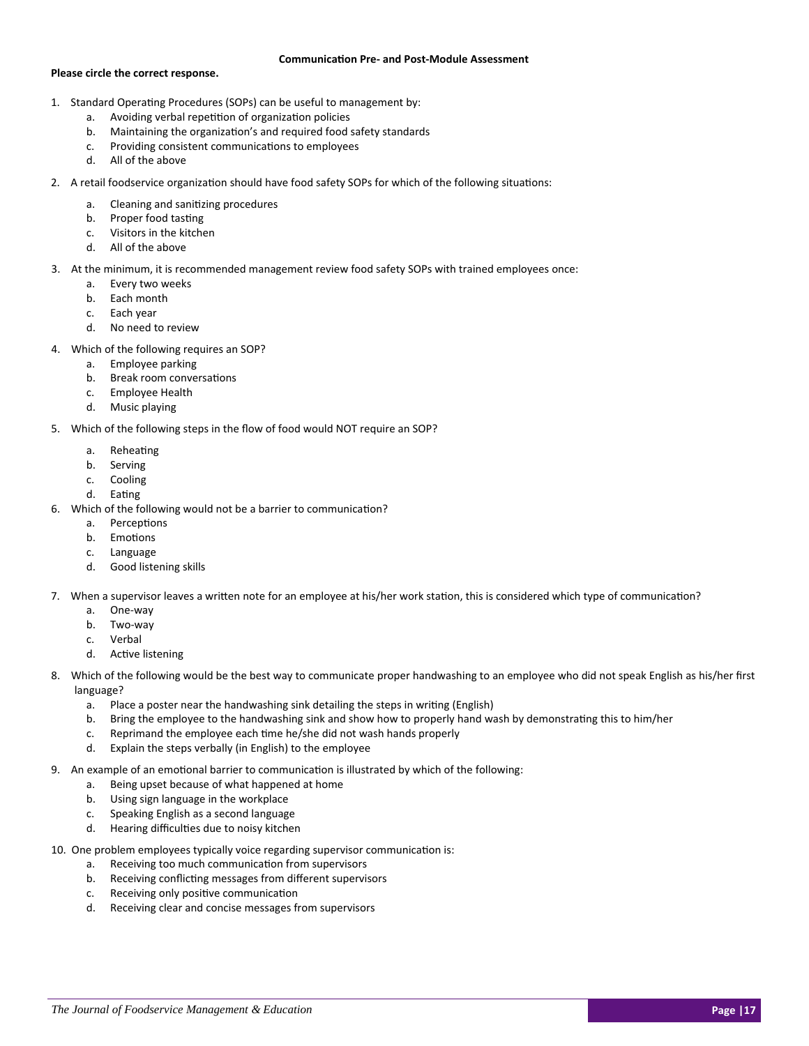#### **CommunicaƟon Pre‐ and Post‐Module Assessment**

## **Please circle the correct response.**

- 1. Standard Operating Procedures (SOPs) can be useful to management by:
	- a. Avoiding verbal repetition of organization policies
	- b. Maintaining the organization's and required food safety standards
	- c. Providing consistent communications to employees
	- d. All of the above
- 2. A retail foodservice organization should have food safety SOPs for which of the following situations:
	- a. Cleaning and sanitizing procedures
	- b. Proper food tasting
	- c. Visitors in the kitchen
	- d. All of the above
- 3. At the minimum, it is recommended management review food safety SOPs with trained employees once:
	- a. Every two weeks
	- b. Each month
	- c. Each year
	- d. No need to review
- 4. Which of the following requires an SOP?
	- a. Employee parking
	- b. Break room conversations
	- c. Employee Health
	- d. Music playing
- 5. Which of the following steps in the flow of food would NOT require an SOP?
	- a. Reheating
	- b. Serving
	- c. Cooling
	- d. Eating
- 6. Which of the following would not be a barrier to communication?
	- a. Perceptions
	- b. Emotions
	- c. Language
	- d. Good listening skills
- 7. When a supervisor leaves a written note for an employee at his/her work station, this is considered which type of communication?
	- a. One‐way
	- b. Two‐way
	- c. Verbal
	- d. Active listening
- 8. Which of the following would be the best way to communicate proper handwashing to an employee who did not speak English as his/her first language?
	- a. Place a poster near the handwashing sink detailing the steps in writing (English)
	- b. Bring the employee to the handwashing sink and show how to properly hand wash by demonstrating this to him/her
	- c. Reprimand the employee each time he/she did not wash hands properly
	- d. Explain the steps verbally (in English) to the employee
- 9. An example of an emotional barrier to communication is illustrated by which of the following:
	- a. Being upset because of what happened at home
	- b. Using sign language in the workplace
	- c. Speaking English as a second language
	- d. Hearing difficulties due to noisy kitchen
- 10. One problem employees typically voice regarding supervisor communication is:
	- a. Receiving too much communication from supervisors
	- b. Receiving conflicting messages from different supervisors
	- c. Receiving only positive communication
	- d. Receiving clear and concise messages from supervisors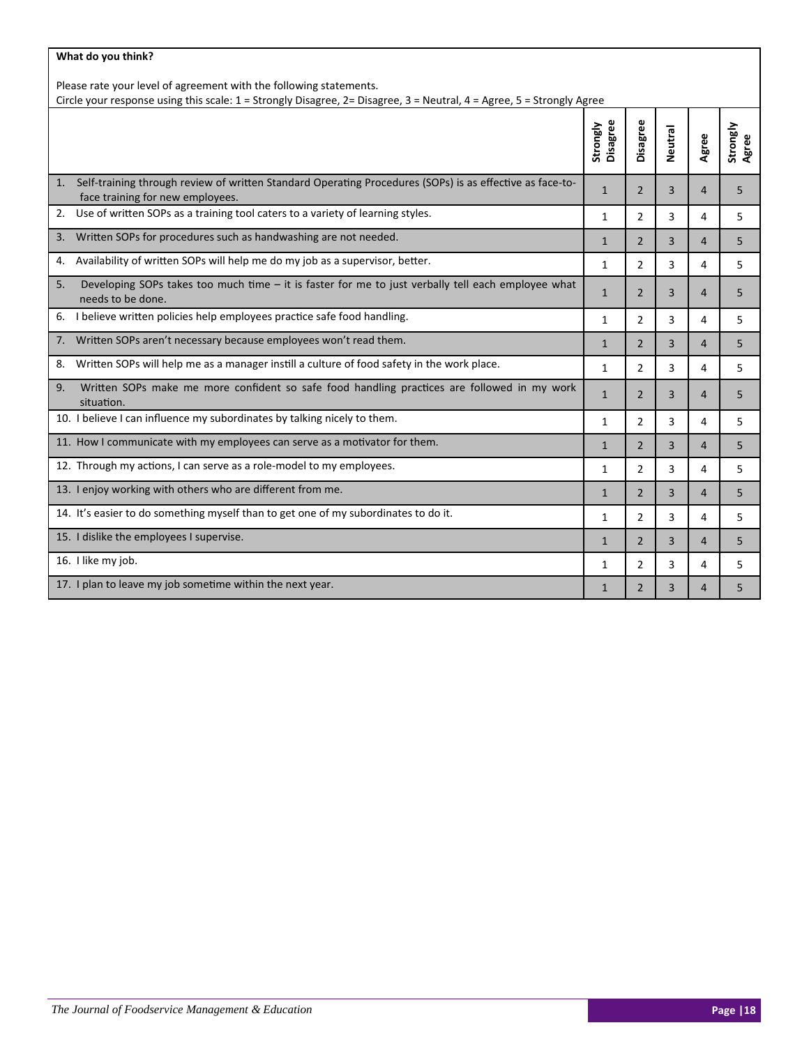| What do you think?                                                                                                                                                                          |                      |                |                |                |                   |
|---------------------------------------------------------------------------------------------------------------------------------------------------------------------------------------------|----------------------|----------------|----------------|----------------|-------------------|
| Please rate your level of agreement with the following statements.<br>Circle your response using this scale: 1 = Strongly Disagree, 2= Disagree, 3 = Neutral, 4 = Agree, 5 = Strongly Agree |                      |                |                |                |                   |
|                                                                                                                                                                                             |                      |                |                |                |                   |
|                                                                                                                                                                                             | Disagree<br>Strongly | Disagree       | <b>Neutral</b> | Agree          | Strongly<br>Agree |
| Self-training through review of written Standard Operating Procedures (SOPs) is as effective as face-to-<br>1.<br>face training for new employees.                                          | $\mathbf{1}$         | $\overline{2}$ | 3              | 4              | 5                 |
| Use of written SOPs as a training tool caters to a variety of learning styles.<br>2.                                                                                                        | $\mathbf{1}$         | $\overline{2}$ | 3              | 4              | 5                 |
| Written SOPs for procedures such as handwashing are not needed.<br>3.                                                                                                                       | $\mathbf{1}$         | $\overline{2}$ | 3              | $\overline{4}$ | 5                 |
| Availability of written SOPs will help me do my job as a supervisor, better.<br>4.                                                                                                          | $\mathbf{1}$         | $\overline{2}$ | 3              | 4              | 5                 |
| Developing SOPs takes too much time - it is faster for me to just verbally tell each employee what<br>5.<br>needs to be done.                                                               | $\mathbf{1}$         | $\overline{2}$ | 3              | 4              | 5                 |
| I believe written policies help employees practice safe food handling.<br>6.                                                                                                                | $\mathbf{1}$         | $\overline{2}$ | 3              | 4              | 5                 |
| 7. Written SOPs aren't necessary because employees won't read them.                                                                                                                         | $\mathbf{1}$         | $\overline{2}$ | $\overline{3}$ | $\overline{4}$ | 5                 |
| Written SOPs will help me as a manager instill a culture of food safety in the work place.<br>8.                                                                                            | $\mathbf{1}$         | $\overline{2}$ | 3              | 4              | 5                 |
| Written SOPs make me more confident so safe food handling practices are followed in my work<br>9.<br>situation.                                                                             | $\mathbf{1}$         | $\overline{2}$ | 3              | 4              | 5                 |
| 10. I believe I can influence my subordinates by talking nicely to them.                                                                                                                    | 1                    | $\overline{2}$ | 3              | 4              | 5                 |
| 11. How I communicate with my employees can serve as a motivator for them.                                                                                                                  | $\mathbf{1}$         | $\overline{2}$ | 3              | 4              | 5                 |
| 12. Through my actions, I can serve as a role-model to my employees.                                                                                                                        | $\mathbf{1}$         | $\overline{2}$ | 3              | 4              | 5                 |
| 13. I enjoy working with others who are different from me.                                                                                                                                  | $\mathbf{1}$         | $\overline{2}$ | 3              | 4              | 5                 |
| 14. It's easier to do something myself than to get one of my subordinates to do it.                                                                                                         | 1                    | $\overline{2}$ | 3              | 4              | 5                 |
| 15. I dislike the employees I supervise.                                                                                                                                                    | $\mathbf{1}$         | $\overline{2}$ | 3              | 4              | 5                 |
| 16. I like my job.                                                                                                                                                                          | $\mathbf{1}$         | $\overline{2}$ | 3              | 4              | 5                 |
| 17. I plan to leave my job sometime within the next year.                                                                                                                                   | $\mathbf{1}$         | $\overline{2}$ | 3              | 4              | 5                 |